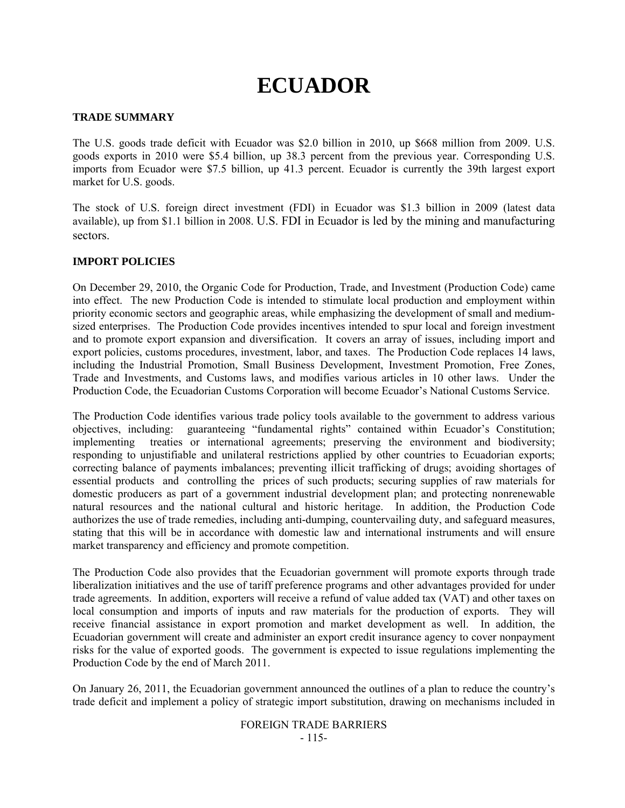# **ECUADOR**

# **TRADE SUMMARY**

The U.S. goods trade deficit with Ecuador was \$2.0 billion in 2010, up \$668 million from 2009. U.S. goods exports in 2010 were \$5.4 billion, up 38.3 percent from the previous year. Corresponding U.S. imports from Ecuador were \$7.5 billion, up 41.3 percent. Ecuador is currently the 39th largest export market for U.S. goods.

The stock of U.S. foreign direct investment (FDI) in Ecuador was \$1.3 billion in 2009 (latest data available), up from \$1.1 billion in 2008. U.S. FDI in Ecuador is led by the mining and manufacturing sectors.

### **IMPORT POLICIES**

On December 29, 2010, the Organic Code for Production, Trade, and Investment (Production Code) came into effect. The new Production Code is intended to stimulate local production and employment within priority economic sectors and geographic areas, while emphasizing the development of small and mediumsized enterprises. The Production Code provides incentives intended to spur local and foreign investment and to promote export expansion and diversification. It covers an array of issues, including import and export policies, customs procedures, investment, labor, and taxes. The Production Code replaces 14 laws, including the Industrial Promotion, Small Business Development, Investment Promotion, Free Zones, Trade and Investments, and Customs laws, and modifies various articles in 10 other laws. Under the Production Code, the Ecuadorian Customs Corporation will become Ecuador's National Customs Service.

The Production Code identifies various trade policy tools available to the government to address various objectives, including: guaranteeing "fundamental rights" contained within Ecuador's Constitution; implementing treaties or international agreements; preserving the environment and biodiversity; responding to unjustifiable and unilateral restrictions applied by other countries to Ecuadorian exports; correcting balance of payments imbalances; preventing illicit trafficking of drugs; avoiding shortages of essential products and controlling the prices of such products; securing supplies of raw materials for domestic producers as part of a government industrial development plan; and protecting nonrenewable natural resources and the national cultural and historic heritage. In addition, the Production Code authorizes the use of trade remedies, including anti-dumping, countervailing duty, and safeguard measures, stating that this will be in accordance with domestic law and international instruments and will ensure market transparency and efficiency and promote competition.

The Production Code also provides that the Ecuadorian government will promote exports through trade liberalization initiatives and the use of tariff preference programs and other advantages provided for under trade agreements. In addition, exporters will receive a refund of value added tax (VAT) and other taxes on local consumption and imports of inputs and raw materials for the production of exports. They will receive financial assistance in export promotion and market development as well. In addition, the Ecuadorian government will create and administer an export credit insurance agency to cover nonpayment risks for the value of exported goods. The government is expected to issue regulations implementing the Production Code by the end of March 2011.

On January 26, 2011, the Ecuadorian government announced the outlines of a plan to reduce the country's trade deficit and implement a policy of strategic import substitution, drawing on mechanisms included in

#### FOREIGN TRADE BARRIERS - 115-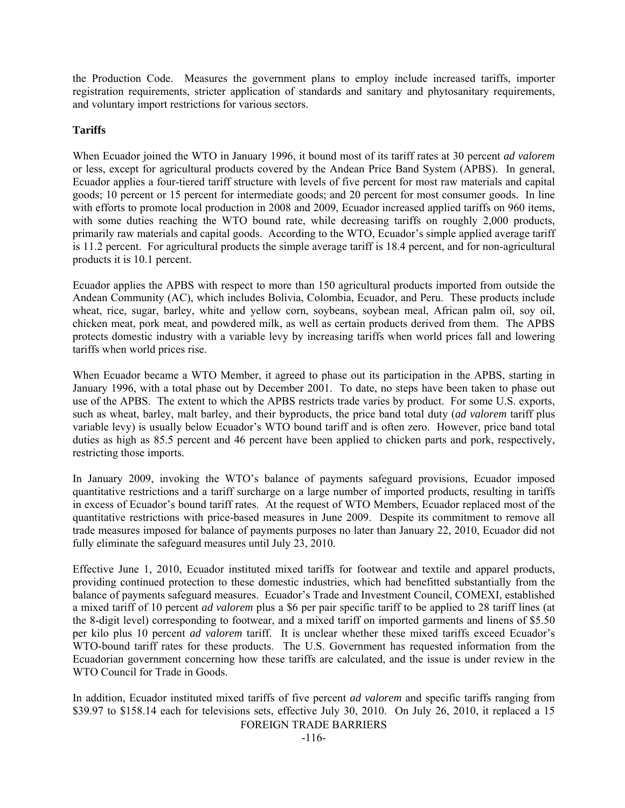the Production Code. Measures the government plans to employ include increased tariffs, importer registration requirements, stricter application of standards and sanitary and phytosanitary requirements, and voluntary import restrictions for various sectors.

## **Tariffs**

When Ecuador joined the WTO in January 1996, it bound most of its tariff rates at 30 percent *ad valorem* or less, except for agricultural products covered by the Andean Price Band System (APBS). In general, Ecuador applies a four-tiered tariff structure with levels of five percent for most raw materials and capital goods; 10 percent or 15 percent for intermediate goods; and 20 percent for most consumer goods. In line with efforts to promote local production in 2008 and 2009, Ecuador increased applied tariffs on 960 items, with some duties reaching the WTO bound rate, while decreasing tariffs on roughly 2,000 products, primarily raw materials and capital goods. According to the WTO, Ecuador's simple applied average tariff is 11.2 percent. For agricultural products the simple average tariff is 18.4 percent, and for non-agricultural products it is 10.1 percent.

Ecuador applies the APBS with respect to more than 150 agricultural products imported from outside the Andean Community (AC), which includes Bolivia, Colombia, Ecuador, and Peru. These products include wheat, rice, sugar, barley, white and yellow corn, soybeans, soybean meal, African palm oil, soy oil, chicken meat, pork meat, and powdered milk, as well as certain products derived from them. The APBS protects domestic industry with a variable levy by increasing tariffs when world prices fall and lowering tariffs when world prices rise.

When Ecuador became a WTO Member, it agreed to phase out its participation in the APBS, starting in January 1996, with a total phase out by December 2001. To date, no steps have been taken to phase out use of the APBS. The extent to which the APBS restricts trade varies by product. For some U.S. exports, such as wheat, barley, malt barley, and their byproducts, the price band total duty (*ad valorem* tariff plus variable levy) is usually below Ecuador's WTO bound tariff and is often zero. However, price band total duties as high as 85.5 percent and 46 percent have been applied to chicken parts and pork, respectively, restricting those imports.

In January 2009, invoking the WTO's balance of payments safeguard provisions, Ecuador imposed quantitative restrictions and a tariff surcharge on a large number of imported products, resulting in tariffs in excess of Ecuador's bound tariff rates. At the request of WTO Members, Ecuador replaced most of the quantitative restrictions with price-based measures in June 2009. Despite its commitment to remove all trade measures imposed for balance of payments purposes no later than January 22, 2010, Ecuador did not fully eliminate the safeguard measures until July 23, 2010.

Effective June 1, 2010, Ecuador instituted mixed tariffs for footwear and textile and apparel products, providing continued protection to these domestic industries, which had benefitted substantially from the balance of payments safeguard measures. Ecuador's Trade and Investment Council, COMEXI, established a mixed tariff of 10 percent *ad valorem* plus a \$6 per pair specific tariff to be applied to 28 tariff lines (at the 8-digit level) corresponding to footwear, and a mixed tariff on imported garments and linens of \$5.50 per kilo plus 10 percent *ad valorem* tariff. It is unclear whether these mixed tariffs exceed Ecuador's WTO-bound tariff rates for these products. The U.S. Government has requested information from the Ecuadorian government concerning how these tariffs are calculated, and the issue is under review in the WTO Council for Trade in Goods.

FOREIGN TRADE BARRIERS In addition, Ecuador instituted mixed tariffs of five percent *ad valorem* and specific tariffs ranging from \$39.97 to \$158.14 each for televisions sets, effective July 30, 2010. On July 26, 2010, it replaced a 15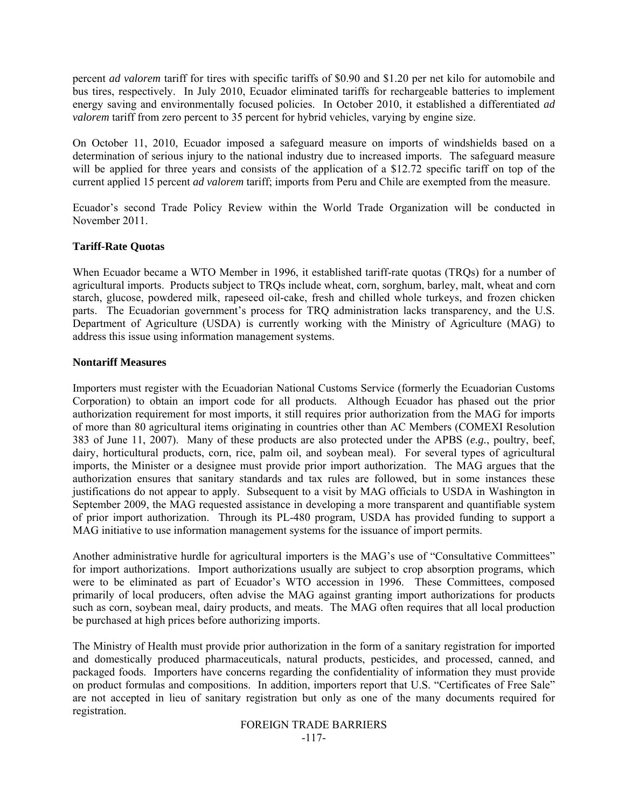percent *ad valorem* tariff for tires with specific tariffs of \$0.90 and \$1.20 per net kilo for automobile and bus tires, respectively. In July 2010, Ecuador eliminated tariffs for rechargeable batteries to implement energy saving and environmentally focused policies. In October 2010, it established a differentiated *ad valorem* tariff from zero percent to 35 percent for hybrid vehicles, varying by engine size.

On October 11, 2010, Ecuador imposed a safeguard measure on imports of windshields based on a determination of serious injury to the national industry due to increased imports. The safeguard measure will be applied for three years and consists of the application of a \$12.72 specific tariff on top of the current applied 15 percent *ad valorem* tariff; imports from Peru and Chile are exempted from the measure.

Ecuador's second Trade Policy Review within the World Trade Organization will be conducted in November 2011.

### **Tariff-Rate Quotas**

When Ecuador became a WTO Member in 1996, it established tariff-rate quotas (TRQs) for a number of agricultural imports. Products subject to TRQs include wheat, corn, sorghum, barley, malt, wheat and corn starch, glucose, powdered milk, rapeseed oil-cake, fresh and chilled whole turkeys, and frozen chicken parts. The Ecuadorian government's process for TRQ administration lacks transparency, and the U.S. Department of Agriculture (USDA) is currently working with the Ministry of Agriculture (MAG) to address this issue using information management systems.

### **Nontariff Measures**

Importers must register with the Ecuadorian National Customs Service (formerly the Ecuadorian Customs Corporation) to obtain an import code for all products. Although Ecuador has phased out the prior authorization requirement for most imports, it still requires prior authorization from the MAG for imports of more than 80 agricultural items originating in countries other than AC Members (COMEXI Resolution 383 of June 11, 2007). Many of these products are also protected under the APBS (*e.g.*, poultry, beef, dairy, horticultural products, corn, rice, palm oil, and soybean meal). For several types of agricultural imports, the Minister or a designee must provide prior import authorization. The MAG argues that the authorization ensures that sanitary standards and tax rules are followed, but in some instances these justifications do not appear to apply. Subsequent to a visit by MAG officials to USDA in Washington in September 2009, the MAG requested assistance in developing a more transparent and quantifiable system of prior import authorization. Through its PL-480 program, USDA has provided funding to support a MAG initiative to use information management systems for the issuance of import permits.

Another administrative hurdle for agricultural importers is the MAG's use of "Consultative Committees" for import authorizations. Import authorizations usually are subject to crop absorption programs, which were to be eliminated as part of Ecuador's WTO accession in 1996. These Committees, composed primarily of local producers, often advise the MAG against granting import authorizations for products such as corn, soybean meal, dairy products, and meats. The MAG often requires that all local production be purchased at high prices before authorizing imports.

The Ministry of Health must provide prior authorization in the form of a sanitary registration for imported and domestically produced pharmaceuticals, natural products, pesticides, and processed, canned, and packaged foods. Importers have concerns regarding the confidentiality of information they must provide on product formulas and compositions. In addition, importers report that U.S. "Certificates of Free Sale" are not accepted in lieu of sanitary registration but only as one of the many documents required for registration.

# FOREIGN TRADE BARRIERS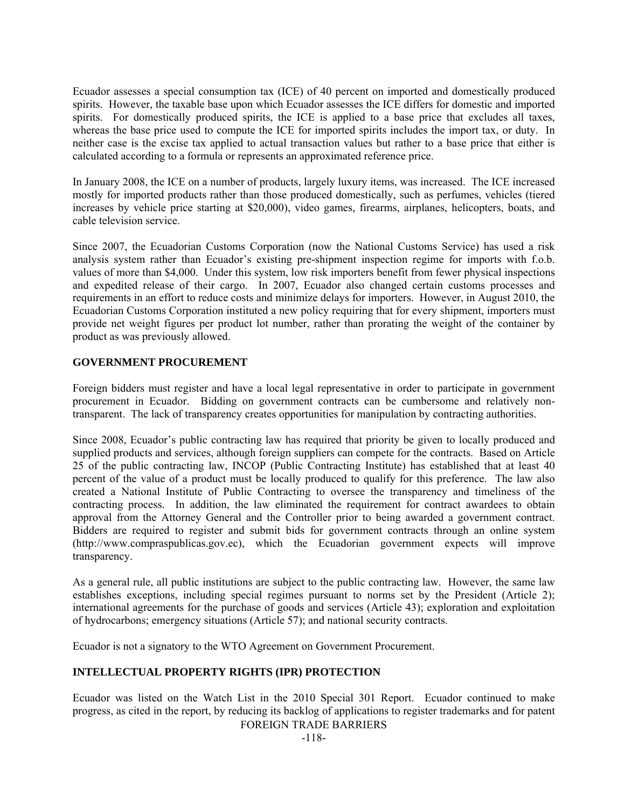Ecuador assesses a special consumption tax (ICE) of 40 percent on imported and domestically produced spirits. However, the taxable base upon which Ecuador assesses the ICE differs for domestic and imported spirits. For domestically produced spirits, the ICE is applied to a base price that excludes all taxes, whereas the base price used to compute the ICE for imported spirits includes the import tax, or duty. In neither case is the excise tax applied to actual transaction values but rather to a base price that either is calculated according to a formula or represents an approximated reference price.

In January 2008, the ICE on a number of products, largely luxury items, was increased. The ICE increased mostly for imported products rather than those produced domestically, such as perfumes, vehicles (tiered increases by vehicle price starting at \$20,000), video games, firearms, airplanes, helicopters, boats, and cable television service.

Since 2007, the Ecuadorian Customs Corporation (now the National Customs Service) has used a risk analysis system rather than Ecuador's existing pre-shipment inspection regime for imports with f.o.b. values of more than \$4,000. Under this system, low risk importers benefit from fewer physical inspections and expedited release of their cargo. In 2007, Ecuador also changed certain customs processes and requirements in an effort to reduce costs and minimize delays for importers. However, in August 2010, the Ecuadorian Customs Corporation instituted a new policy requiring that for every shipment, importers must provide net weight figures per product lot number, rather than prorating the weight of the container by product as was previously allowed.

# **GOVERNMENT PROCUREMENT**

Foreign bidders must register and have a local legal representative in order to participate in government procurement in Ecuador. Bidding on government contracts can be cumbersome and relatively nontransparent. The lack of transparency creates opportunities for manipulation by contracting authorities.

Since 2008, Ecuador's public contracting law has required that priority be given to locally produced and supplied products and services, although foreign suppliers can compete for the contracts. Based on Article 25 of the public contracting law, INCOP (Public Contracting Institute) has established that at least 40 percent of the value of a product must be locally produced to qualify for this preference. The law also created a National Institute of Public Contracting to oversee the transparency and timeliness of the contracting process. In addition, the law eliminated the requirement for contract awardees to obtain approval from the Attorney General and the Controller prior to being awarded a government contract. Bidders are required to register and submit bids for government contracts through an online system (http://www.compraspublicas.gov.ec), which the Ecuadorian government expects will improve transparency.

As a general rule, all public institutions are subject to the public contracting law. However, the same law establishes exceptions, including special regimes pursuant to norms set by the President (Article 2); international agreements for the purchase of goods and services (Article 43); exploration and exploitation of hydrocarbons; emergency situations (Article 57); and national security contracts.

Ecuador is not a signatory to the WTO Agreement on Government Procurement.

### **INTELLECTUAL PROPERTY RIGHTS (IPR) PROTECTION**

FOREIGN TRADE BARRIERS Ecuador was listed on the Watch List in the 2010 Special 301 Report. Ecuador continued to make progress, as cited in the report, by reducing its backlog of applications to register trademarks and for patent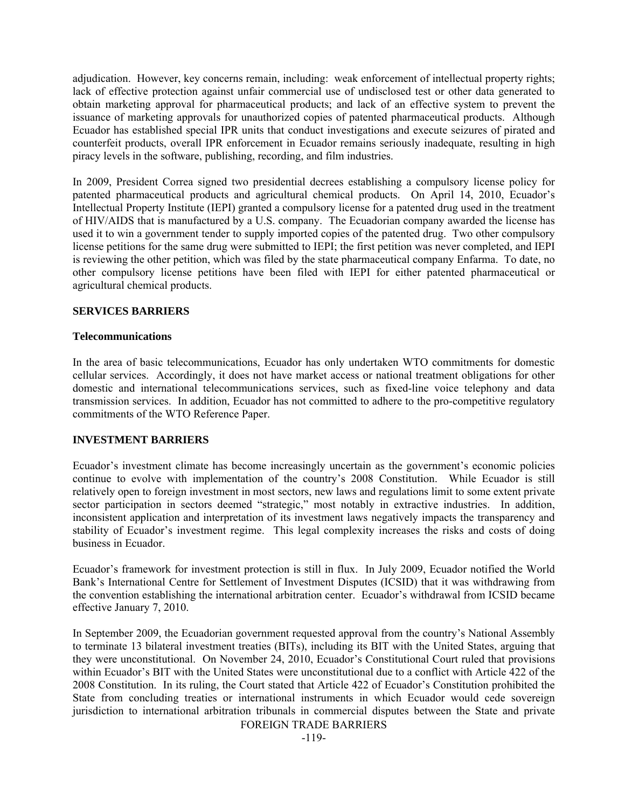adjudication. However, key concerns remain, including: weak enforcement of intellectual property rights; lack of effective protection against unfair commercial use of undisclosed test or other data generated to obtain marketing approval for pharmaceutical products; and lack of an effective system to prevent the issuance of marketing approvals for unauthorized copies of patented pharmaceutical products. Although Ecuador has established special IPR units that conduct investigations and execute seizures of pirated and counterfeit products, overall IPR enforcement in Ecuador remains seriously inadequate, resulting in high piracy levels in the software, publishing, recording, and film industries.

In 2009, President Correa signed two presidential decrees establishing a compulsory license policy for patented pharmaceutical products and agricultural chemical products. On April 14, 2010, Ecuador's Intellectual Property Institute (IEPI) granted a compulsory license for a patented drug used in the treatment of HIV/AIDS that is manufactured by a U.S. company. The Ecuadorian company awarded the license has used it to win a government tender to supply imported copies of the patented drug. Two other compulsory license petitions for the same drug were submitted to IEPI; the first petition was never completed, and IEPI is reviewing the other petition, which was filed by the state pharmaceutical company Enfarma. To date, no other compulsory license petitions have been filed with IEPI for either patented pharmaceutical or agricultural chemical products.

### **SERVICES BARRIERS**

### **Telecommunications**

In the area of basic telecommunications, Ecuador has only undertaken WTO commitments for domestic cellular services. Accordingly, it does not have market access or national treatment obligations for other domestic and international telecommunications services, such as fixed-line voice telephony and data transmission services. In addition, Ecuador has not committed to adhere to the pro-competitive regulatory commitments of the WTO Reference Paper.

### **INVESTMENT BARRIERS**

Ecuador's investment climate has become increasingly uncertain as the government's economic policies continue to evolve with implementation of the country's 2008 Constitution. While Ecuador is still relatively open to foreign investment in most sectors, new laws and regulations limit to some extent private sector participation in sectors deemed "strategic," most notably in extractive industries. In addition, inconsistent application and interpretation of its investment laws negatively impacts the transparency and stability of Ecuador's investment regime. This legal complexity increases the risks and costs of doing business in Ecuador.

Ecuador's framework for investment protection is still in flux. In July 2009, Ecuador notified the World Bank's International Centre for Settlement of Investment Disputes (ICSID) that it was withdrawing from the convention establishing the international arbitration center. Ecuador's withdrawal from ICSID became effective January 7, 2010.

In September 2009, the Ecuadorian government requested approval from the country's National Assembly to terminate 13 bilateral investment treaties (BITs), including its BIT with the United States, arguing that they were unconstitutional. On November 24, 2010, Ecuador's Constitutional Court ruled that provisions within Ecuador's BIT with the United States were unconstitutional due to a conflict with Article 422 of the 2008 Constitution. In its ruling, the Court stated that Article 422 of Ecuador's Constitution prohibited the State from concluding treaties or international instruments in which Ecuador would cede sovereign jurisdiction to international arbitration tribunals in commercial disputes between the State and private

FOREIGN TRADE BARRIERS